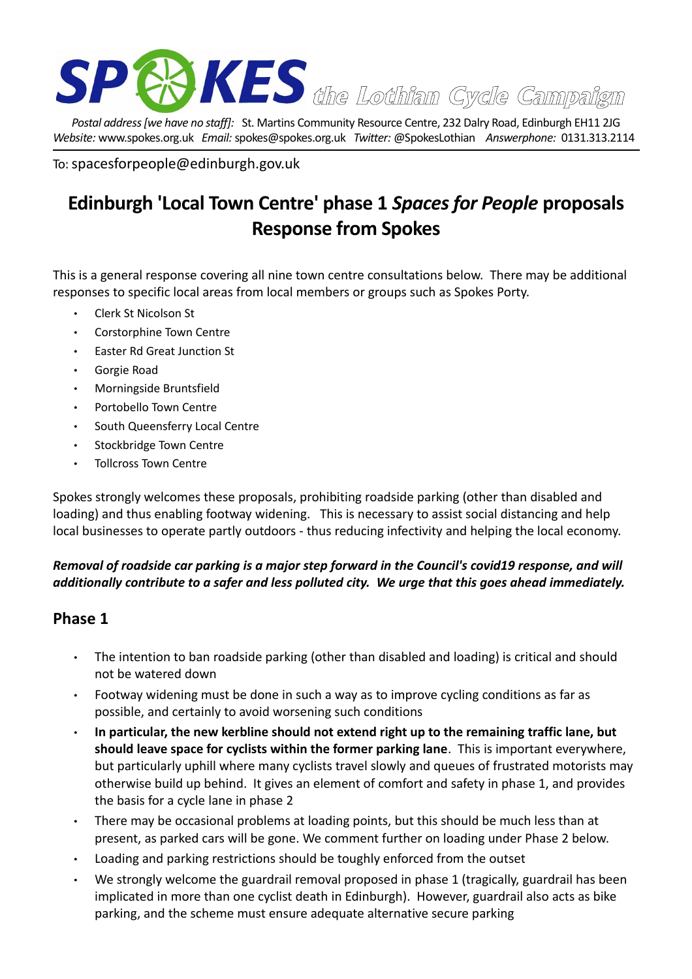

*Postal address [we have no staff]:* St. Martins Community Resource Centre, 232 Dalry Road, Edinburgh EH11 2JG *Website:* www.spokes.org.uk *Email:* spokes@spokes.org.uk *Twitter:* @SpokesLothian *Answerphone:* 0131.313.2114

To: spacesforpeople@edinburgh.gov.uk

## **Edinburgh 'Local Town Centre' phase 1** *Spaces for People* **proposals Response from Spokes**

This is a general response covering all nine town centre consultations below. There may be additional responses to specific local areas from local members or groups such as Spokes Porty.

- Clerk St Nicolson St
- Corstorphine Town Centre
- Easter Rd Great Junction St
- Gorgie Road
- Morningside Bruntsfield
- Portobello Town Centre
- South Queensferry Local Centre
- Stockbridge Town Centre
- Tollcross Town Centre

Spokes strongly welcomes these proposals, prohibiting roadside parking (other than disabled and loading) and thus enabling footway widening. This is necessary to assist social distancing and help local businesses to operate partly outdoors - thus reducing infectivity and helping the local economy.

## *Removal of roadside car parking is a major step forward in the Council's covid19 response, and will additionally contribute to a safer and less polluted city. We urge that this goes ahead immediately.*

## **Phase 1**

- The intention to ban roadside parking (other than disabled and loading) is critical and should not be watered down
- Footway widening must be done in such a way as to improve cycling conditions as far as possible, and certainly to avoid worsening such conditions
- **In particular, the new kerbline should not extend right up to the remaining traffic lane, but should leave space for cyclists within the former parking lane**. This is important everywhere, but particularly uphill where many cyclists travel slowly and queues of frustrated motorists may otherwise build up behind. It gives an element of comfort and safety in phase 1, and provides the basis for a cycle lane in phase 2
- There may be occasional problems at loading points, but this should be much less than at present, as parked cars will be gone. We comment further on loading under Phase 2 below.
- Loading and parking restrictions should be toughly enforced from the outset
- We strongly welcome the guardrail removal proposed in phase 1 (tragically, guardrail has been implicated in more than one cyclist death in Edinburgh). However, guardrail also acts as bike parking, and the scheme must ensure adequate alternative secure parking